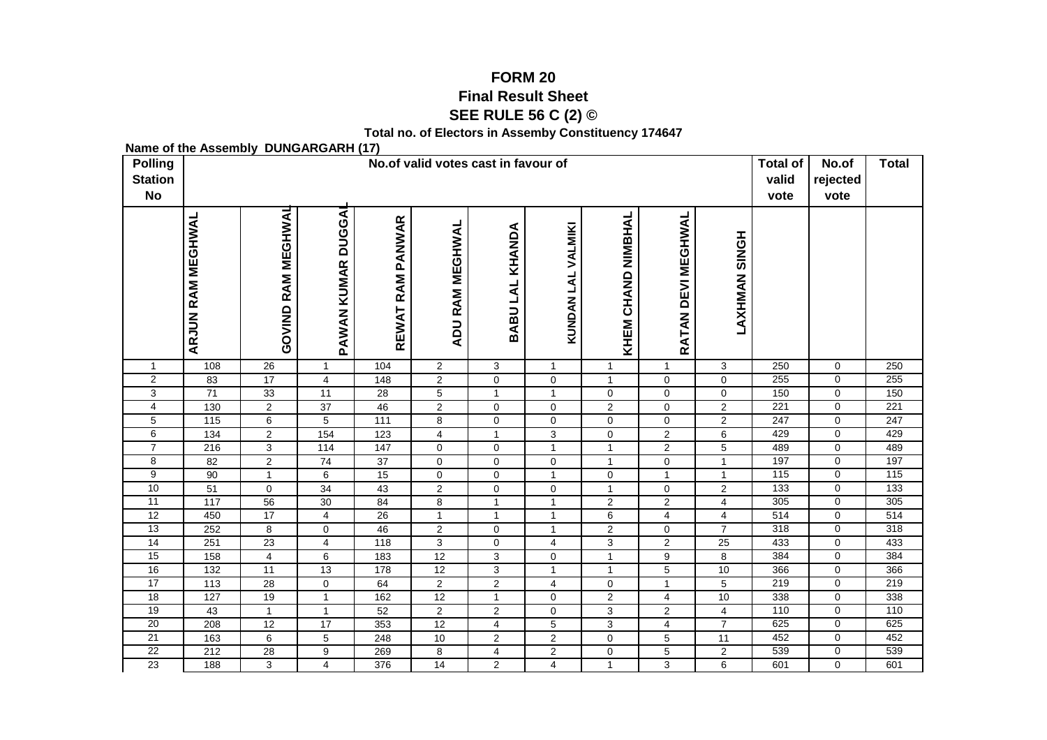## **FORM 20Final Result Sheet**

**SEE RULE 56 C (2) ©**

**Total no. of Electors in Assemby Constituency 174647**

**Name of the Assembly DUNGARGARH (17)**

| <b>Polling</b><br><b>Station</b><br><b>No</b> |                          | No.of valid votes cast in favour of |                                     |                   |                        |                             |                             |                                |                     |                         |            |                            | <b>Total</b>     |
|-----------------------------------------------|--------------------------|-------------------------------------|-------------------------------------|-------------------|------------------------|-----------------------------|-----------------------------|--------------------------------|---------------------|-------------------------|------------|----------------------------|------------------|
|                                               | <b>ARJUN RAM MEGHWAL</b> | GOVIND RAM MEGHWAL                  | <b>DUGGAI</b><br><b>PAWAN KUMAR</b> | REWAT RAM PANWAR  | <b>ADU RAM MEGHWAL</b> | BABU LAL KHANDA             | KUNDAN LAL VALMIKI          | KHEM CHAND NIMBHAL             | RATAN DEVI MEGHWAL  | <b>LAXHMAN SINGH</b>    |            |                            |                  |
| $\mathbf{1}$                                  | 108                      | 26                                  | $\mathbf{1}$                        | 104               | $\overline{2}$         | 3                           | $\mathbf{1}$                | $\mathbf{1}$                   | $\mathbf{1}$        | 3                       | 250        | $\mathbf 0$                | 250              |
| $\overline{2}$                                | 83                       | $\overline{17}$                     | $\overline{4}$                      | 148               | $\overline{c}$         | $\mathbf 0$                 | 0                           | $\mathbf{1}$                   | $\mathbf 0$         | 0                       | 255        | $\mathbf 0$                | 255              |
| $\overline{3}$                                | $\overline{71}$          | 33                                  | $\overline{11}$                     | $\overline{28}$   | $\overline{5}$         | $\mathbf{1}$                | $\mathbf{1}$                | $\mathbf 0$                    | $\overline{0}$      | $\pmb{0}$               | 150        | $\mathbf 0$                | 150              |
| 4                                             | 130                      | $\overline{c}$                      | $\overline{37}$                     | 46                | $\overline{2}$         | 0                           | $\mathbf 0$                 | $\overline{2}$                 | 0                   | $\overline{c}$          | 221        | $\mathbf 0$                | $\overline{221}$ |
| $\overline{5}$                                | $\frac{115}{115}$        | 6                                   | $\overline{5}$                      | $\frac{111}{111}$ | $\bf8$                 | $\mathbf 0$                 | $\mathbf 0$                 | $\mathbf 0$                    | 0                   | $\overline{2}$          | 247        | $\mathbf 0$                | 247              |
| 6                                             | 134                      | $\overline{c}$                      | $\frac{154}{ }$                     | 123               | 4                      | $\mathbf{1}$                | $\ensuremath{\mathsf{3}}$   | $\mathbf 0$                    | $\overline{a}$      | 6                       | 429        | $\mathbf 0$                | 429              |
| $\overline{7}$                                | 216                      | 3                                   | 114                                 | 147               | 0                      | $\mathbf 0$                 | $\mathbf{1}$                | $\mathbf{1}$                   | $\overline{a}$      | $\overline{5}$          | 489        | 0                          | 489              |
| 8                                             | 82                       | $\mathbf{2}$                        | 74                                  | $\overline{37}$   | 0                      | $\mathbf 0$                 | 0                           | $\mathbf{1}$                   | 0                   | $\mathbf{1}$            | 197        | 0                          | 197              |
| 9                                             | 90                       | $\mathbf{1}$                        | 6                                   | 15                | 0                      | $\mathbf 0$                 | $\mathbf{1}$                | 0                              | $\mathbf{1}$        | $\mathbf{1}$            | 115        | $\mathbf 0$                | 115              |
| 10                                            | 51                       | 0                                   | 34                                  | 43                | $\overline{c}$         | $\mathbf 0$                 | $\pmb{0}$                   | $\mathbf{1}$                   | 0                   | $\overline{c}$          | 133        | $\mathbf 0$                | 133              |
| 11                                            | 117                      | 56                                  | 30                                  | 84                | 8                      | $\mathbf{1}$                | $\mathbf{1}$                | $\overline{c}$                 | $\overline{2}$      | $\overline{4}$          | 305        | $\mathbf 0$                | 305              |
| $\overline{12}$                               | 450                      | 17                                  | 4                                   | 26                | $\mathbf{1}$           | $\mathbf{1}$                | $\mathbf{1}$                | 6                              | 4                   | 4                       | 514        | $\mathbf 0$                | $\overline{514}$ |
| 13<br>14                                      | 252                      | 8                                   | 0                                   | 46                | $\overline{c}$         | $\pmb{0}$                   | $\mathbf{1}$                | $\mathbf 2$                    | $\mathsf{O}$        | $\overline{7}$          | 318<br>433 | $\mathbf 0$<br>$\mathbf 0$ | 318<br>433       |
| 15                                            | 251<br>158               | 23<br>$\overline{4}$                | 4<br>6                              | 118<br>183        | $\overline{3}$<br>12   | $\pmb{0}$<br>$\overline{3}$ | $\overline{4}$              | $\overline{3}$<br>$\mathbf{1}$ | $\overline{2}$<br>9 | 25<br>$\overline{8}$    | 384        | $\pmb{0}$                  | 384              |
| 16                                            | 132                      | 11                                  | 13                                  | 178               | 12                     | $\overline{3}$              | $\pmb{0}$<br>$\overline{1}$ | $\mathbf{1}$                   | $\overline{5}$      | 10                      | 366        | $\overline{0}$             | 366              |
| 17                                            | $\overline{113}$         | 28                                  | 0                                   | 64                | $\overline{2}$         | $\overline{2}$              | $\overline{4}$              | $\mathbf 0$                    | $\mathbf{1}$        | $\overline{5}$          | 219        | $\mathbf 0$                | 219              |
| $\overline{18}$                               | $\overline{127}$         | 19                                  | $\mathbf{1}$                        | 162               | 12                     | $\mathbf{1}$                | $\mathbf 0$                 | $\overline{2}$                 |                     | 10                      | 338        | $\pmb{0}$                  | 338              |
| 19                                            | 43                       | $\mathbf{1}$                        | $\mathbf{1}$                        | 52                | $\overline{2}$         | $\overline{2}$              | $\mathsf 0$                 | 3                              | 4<br>$\overline{2}$ | $\overline{\mathbf{4}}$ | 110        | $\mathbf 0$                | 110              |
| $\overline{20}$                               | 208                      | $\overline{12}$                     | $\overline{17}$                     | 353               | $\overline{12}$        | $\overline{4}$              | $\mathbf 5$                 | $\mathbf{3}$                   | 4                   | $\overline{7}$          | 625        | $\mathbf 0$                | 625              |
| 21                                            | 163                      | 6                                   | 5                                   | 248               | 10                     | $\overline{2}$              | $\overline{2}$              | $\mathbf 0$                    | 5                   | 11                      | 452        | $\mathbf 0$                | 452              |
| $\overline{22}$                               | 212                      | 28                                  | 9                                   | 269               | 8                      | $\overline{4}$              | $\overline{2}$              | $\mathbf 0$                    | 5                   | $\overline{a}$          | 539        | $\mathbf 0$                | 539              |
| 23                                            | 188                      | 3                                   | $\overline{4}$                      | 376               | $\overline{14}$        | $\overline{2}$              | $\overline{4}$              | $\mathbf{1}$                   | 3                   | 6                       | 601        | $\Omega$                   | 601              |
|                                               |                          |                                     |                                     |                   |                        |                             |                             |                                |                     |                         |            |                            |                  |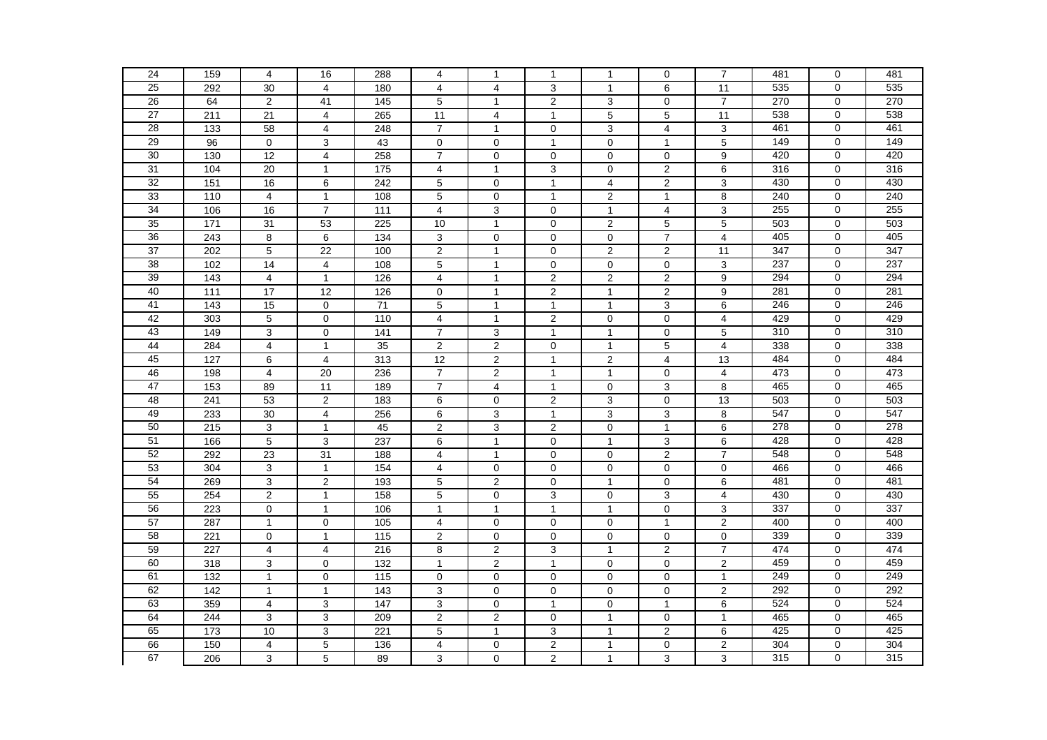| 24              |                   |                         |                |                   |                               |                |                     |                | $\mathbf 0$                            | $\overline{7}$      | 481 | $\mathbf 0$ | 481 |
|-----------------|-------------------|-------------------------|----------------|-------------------|-------------------------------|----------------|---------------------|----------------|----------------------------------------|---------------------|-----|-------------|-----|
|                 | 159               | 4                       | 16             | 288               | 4                             | $\mathbf{1}$   | $\mathbf{1}$        | $\mathbf{1}$   |                                        |                     |     |             |     |
| 25              | 292               | 30                      | 4              | 180               | $\overline{4}$                | 4              | 3                   | $\mathbf{1}$   | 6                                      | 11                  | 535 | $\mathbf 0$ | 535 |
| 26              | 64                | 2                       | 41             | 145               | 5                             | $\mathbf{1}$   | $\overline{2}$      | 3              | $\mathbf 0$                            | $\overline{7}$      | 270 | 0           | 270 |
| 27              | 211               | 21                      | $\overline{4}$ | 265               | 11                            | 4              | $\mathbf{1}$        | 5              | 5                                      | 11                  | 538 | $\mathbf 0$ | 538 |
| 28              | 133               | 58                      | $\overline{4}$ | 248               | $\overline{7}$                | $\mathbf{1}$   | $\mathbf 0$         | 3              | $\overline{4}$                         | 3                   | 461 | $\Omega$    | 461 |
| 29              | 96                | $\mathbf 0$             | 3              | 43                | $\mathbf 0$                   | $\Omega$       | $\mathbf{1}$        | $\mathbf 0$    | $\mathbf{1}$                           | 5                   | 149 | $\mathbf 0$ | 149 |
| $\overline{30}$ | 130               | 12                      | $\overline{4}$ | 258               | $\overline{7}$                | $\mathbf 0$    | $\mathbf 0$         | $\mathbf 0$    | 0                                      | 9                   | 420 | $\mathbf 0$ | 420 |
| $\overline{31}$ | 104               | 20                      | $\mathbf{1}$   | $\frac{1}{175}$   | 4                             | $\mathbf{1}$   | $\overline{3}$      | $\mathbf 0$    | $\overline{2}$                         | $\overline{6}$      | 316 | $\mathbf 0$ | 316 |
| 32              | 151               | 16                      | 6              | 242               | 5                             | $\mathbf 0$    | $\mathbf{1}$        | $\overline{4}$ | $\overline{2}$                         | $\overline{3}$      | 430 | $\Omega$    | 430 |
| 33              | $\frac{110}{110}$ | $\overline{\mathbf{4}}$ | $\mathbf{1}$   | 108               | $\mathbf 5$                   | $\mathbf 0$    | $\mathbf{1}$        | $\mathbf 2$    | $\mathbf{1}$                           | 8                   | 240 | $\mathbf 0$ | 240 |
| 34              | 106               | 16                      | $\overline{7}$ | $\frac{111}{111}$ | 4                             | 3              | $\mathbf 0$         | $\mathbf{1}$   | $\overline{4}$                         | 3                   | 255 | $\mathbf 0$ | 255 |
| 35              | 171               | 31                      | 53             | 225               | 10                            | $\mathbf{1}$   | 0                   | $\overline{2}$ | 5                                      | 5                   | 503 | $\mathbf 0$ | 503 |
| 36              | 243               | 8                       | 6              | 134               | 3                             | $\mathbf 0$    | $\mathbf 0$         | $\pmb{0}$      | $\overline{7}$                         | 4                   | 405 | $\mathbf 0$ | 405 |
| $\overline{37}$ | 202               | 5                       | 22             | 100               | $\overline{2}$                | $\mathbf{1}$   | $\mathbf 0$         | $\overline{2}$ | $\overline{2}$                         | 11                  | 347 | $\mathbf 0$ | 347 |
| 38              | 102               | $\overline{14}$         | $\overline{4}$ | 108               | $\overline{5}$                | $\mathbf{1}$   | $\mathbf 0$         | $\mathbf 0$    | $\overline{0}$                         | 3                   | 237 | $\mathbf 0$ | 237 |
| $\overline{39}$ | 143               | $\overline{4}$          | $\mathbf{1}$   | 126               | 4                             | $\mathbf{1}$   | $\overline{2}$      | $\overline{c}$ | $\mathbf{2}$                           | 9                   | 294 | $\mathbf 0$ | 294 |
| 40              | $\overline{111}$  | 17                      | 12             | 126               | $\mathbf 0$                   | $\mathbf{1}$   | $\boldsymbol{2}$    | $\mathbf{1}$   | $\mathbf{2}$                           | 9                   | 281 | $\Omega$    | 281 |
| 41              | $\frac{1}{143}$   | 15                      | $\mathbf 0$    | $\overline{71}$   | 5                             | $\mathbf{1}$   | $\mathbf{1}$        | $\mathbf{1}$   | 3                                      | 6                   | 246 | $\mathbf 0$ | 246 |
| 42              | 303               | 5                       | $\mathbf 0$    | $\frac{110}{110}$ | $\overline{\mathbf{4}}$       | $\mathbf{1}$   | $\overline{2}$      | $\mathbf 0$    | $\overline{0}$                         | $\overline{4}$      | 429 | $\mathbf 0$ | 429 |
| 43              | 149               | 3                       | 0              | $\frac{141}{1}$   | $\overline{7}$                | 3              | $\mathbf{1}$        | $\mathbf{1}$   | 0                                      | $\overline{5}$      | 310 | 0           | 310 |
| 44              | 284               | $\overline{\mathbf{4}}$ | $\mathbf{1}$   | 35                | $\overline{2}$                | $\overline{c}$ | $\mathbf 0$         | $\mathbf{1}$   | 5                                      | 4                   | 338 | $\mathbf 0$ | 338 |
| 45              | 127               | 6                       | $\overline{4}$ | $\overline{313}$  | 12                            | $\overline{2}$ | $\mathbf{1}$        | $\overline{2}$ | $\overline{4}$                         | 13                  | 484 | $\mathbf 0$ | 484 |
| 46              | 198               | 4                       | 20             | 236               | $\overline{7}$                | $\overline{2}$ | $\mathbf{1}$        | $\mathbf{1}$   | $\mathbf 0$                            | 4                   | 473 | $\mathbf 0$ | 473 |
| 47              | 153               | 89                      | 11             | 189               | $\overline{7}$                | $\overline{4}$ | $\mathbf{1}$        | $\mathbf 0$    | 3                                      | 8                   | 465 | $\mathbf 0$ | 465 |
| 48              | 241               | 53                      | $\overline{2}$ | 183               | 6                             | $\Omega$       | $\overline{2}$      | $\overline{3}$ | $\Omega$                               | 13                  | 503 | $\Omega$    | 503 |
| 49              | 233               | 30                      | $\overline{4}$ | 256               | 6                             | 3              | $\mathbf{1}$        | 3              | 3                                      | 8                   | 547 | $\Omega$    | 547 |
| 50              | 215               | 3                       | $\mathbf{1}$   | 45                | $\overline{c}$                | 3              | $\overline{2}$      | $\mathbf 0$    | 1                                      | 6                   | 278 | $\mathbf 0$ | 278 |
| 51              | 166               | $\overline{5}$          | $\sqrt{3}$     | 237               | $\,6$                         | $\mathbf{1}$   | $\mathsf{O}\xspace$ | $\mathbf{1}$   | 3                                      | $\overline{6}$      | 428 | $\mathbf 0$ | 428 |
| 52              | 292               | 23                      | 31             | 188               | 4                             | $\mathbf{1}$   | 0                   | 0              | $\overline{2}$                         | 7                   | 548 | $\mathbf 0$ | 548 |
| 53              | 304               | 3                       | $\mathbf{1}$   | 154               | $\overline{4}$                | $\mathbf 0$    | $\mathbf 0$         | $\mathbf 0$    | $\mathbf 0$                            | $\mathbf 0$         | 466 | $\mathbf 0$ | 466 |
| 54              | 269               | 3                       | $\overline{2}$ | 193               | 5                             | $\overline{2}$ | $\mathbf 0$         | $\mathbf{1}$   | $\Omega$                               | 6                   | 481 | $\mathbf 0$ | 481 |
| 55              | 254               | $\overline{2}$          | $\mathbf{1}$   | 158               | 5                             | $\mathbf 0$    | 3                   | $\mathbf 0$    | 3                                      | 4                   | 430 | $\mathbf 0$ | 430 |
| 56              | 223               | $\mathbf 0$             | $\mathbf{1}$   | 106               | $\mathbf{1}$                  | $\mathbf{1}$   | $\mathbf{1}$        | $\mathbf{1}$   | $\mathbf 0$                            | 3                   | 337 | $\Omega$    | 337 |
| 57              | 287               | $\overline{1}$          | $\mathbf 0$    | 105               | 4                             | $\Omega$       | $\mathsf 0$         | $\mathbf 0$    | $\mathbf{1}$                           | $\overline{2}$      | 400 | $\mathbf 0$ | 400 |
| 58              | 221               | $\mathbf 0$             | $\mathbf{1}$   | 115               | $\overline{2}$                | $\mathbf 0$    | $\mathsf{O}\xspace$ | $\mathbf 0$    | $\mathbf 0$                            | $\mathsf 0$         | 339 | $\mathbf 0$ | 339 |
| 59              | 227               | 4                       | $\overline{4}$ | 216               | 8                             | $\overline{c}$ | 3                   | $\mathbf{1}$   | $\overline{2}$                         | $\overline{7}$      | 474 | $\mathbf 0$ | 474 |
| 60              | $\overline{318}$  | 3                       | $\mathbf 0$    | $\frac{1}{132}$   | $\mathbf{1}$                  | $\overline{2}$ | $\mathbf{1}$        | $\mathbf 0$    | $\mathbf 0$                            | $\overline{2}$      | 459 | $\mathbf 0$ | 459 |
| 61              | 132               | $\mathbf{1}$            | $\mathbf 0$    | 115               | $\pmb{0}$                     | $\mathbf 0$    | $\mathbf 0$         | $\mathbf 0$    | $\mathbf 0$                            | $\mathbf{1}$        | 249 | $\mathbf 0$ | 249 |
| 62              | 142               | $\mathbf{1}$            | $\mathbf{1}$   | 143               | 3                             | $\mathbf 0$    | $\mathbf 0$         | $\mathbf 0$    | $\mathbf 0$                            | $\overline{2}$      | 292 | $\mathbf 0$ | 292 |
| 63              | 359               | 4                       | 3              | 147               | $\mathsf 3$                   | $\mathbf 0$    | $\mathbf{1}$        | $\mathbf 0$    | $\mathbf{1}$                           | 6                   | 524 | $\mathbf 0$ | 524 |
| 64              | 244               | 3                       | 3              | 209               | $\overline{c}$                | $\overline{c}$ | $\mathbf 0$         | $\mathbf{1}$   | $\mathbf 0$                            | $\mathbf{1}$        | 465 | $\mathbf 0$ | 465 |
| 65              | 173               | 10                      |                | 221               |                               | $\mathbf{1}$   |                     | $\mathbf{1}$   |                                        |                     | 425 | $\mathbf 0$ | 425 |
| 66              | 150               | 4                       | 3<br>5         | 136               | $\mathbf 5$<br>$\overline{4}$ | $\mathbf 0$    | 3                   | $\mathbf{1}$   | $\overline{\mathbf{c}}$<br>$\mathbf 0$ | 6<br>$\overline{c}$ | 304 | $\Omega$    | 304 |
| 67              |                   |                         |                |                   |                               |                | $\boldsymbol{2}$    |                |                                        |                     |     | 0           | 315 |
|                 | 206               | 3                       | $\overline{5}$ | 89                | 3                             | $\mathsf 0$    | $\overline{2}$      | $\mathbf{1}$   | 3                                      | 3                   | 315 |             |     |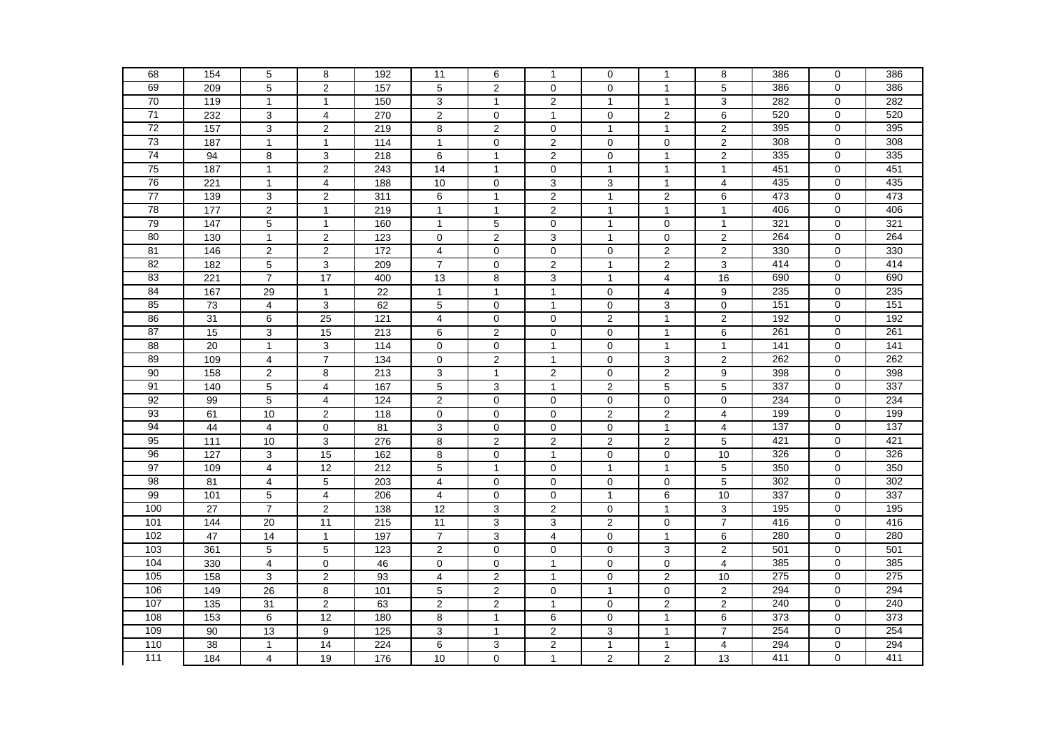| 68              | 154               | $\overline{5}$          | 8                       | 192               | 11                      | 6                   | $\mathbf{1}$   | $\mathbf 0$      | $\mathbf{1}$            | 8                       | 386              | $\mathbf 0$    | 386 |
|-----------------|-------------------|-------------------------|-------------------------|-------------------|-------------------------|---------------------|----------------|------------------|-------------------------|-------------------------|------------------|----------------|-----|
| 69              | 209               | $\overline{5}$          | $\overline{2}$          | 157               | 5                       | $\overline{2}$      | $\mathbf 0$    | $\mathbf 0$      | $\mathbf{1}$            | $\overline{5}$          | 386              | $\mathbf 0$    | 386 |
| 70              | 119               | $\mathbf{1}$            | $\mathbf{1}$            | 150               | 3                       | $\mathbf{1}$        | $\overline{c}$ | $\mathbf{1}$     | $\mathbf{1}$            | 3                       | 282              | $\mathbf 0$    | 282 |
| 71              | 232               | 3                       | 4                       | 270               | $\overline{\mathbf{c}}$ | 0                   | $\mathbf{1}$   | $\mathbf 0$      | $\overline{2}$          | 6                       | 520              | 0              | 520 |
| $\overline{72}$ | 157               | $\mathsf 3$             | $\overline{2}$          | 219               | 8                       | $\overline{2}$      | $\mathbf 0$    | $\overline{1}$   | $\overline{1}$          | $\overline{2}$          | 395              | $\mathbf 0$    | 395 |
| 73              | 187               | $\mathbf{1}$            | $\mathbf{1}$            | $\frac{114}{114}$ | $\mathbf{1}$            | $\mathbf 0$         | $\overline{2}$ | $\mathbf 0$      | $\mathbf 0$             | $\overline{2}$          | 308              | $\mathbf 0$    | 308 |
| $\overline{74}$ | 94                | 8                       | 3                       | 218               | 6                       | $\mathbf{1}$        | $\overline{c}$ | $\mathbf 0$      | $\mathbf{1}$            | $\overline{2}$          | 335              | $\mathbf 0$    | 335 |
| 75              | 187               | $\mathbf{1}$            | 2                       | 243               | $\overline{14}$         | $\mathbf{1}$        | $\overline{0}$ | $\overline{1}$   | 1                       | $\mathbf{1}$            | 451              | $\mathbf 0$    | 451 |
| 76              | 221               | $\mathbf{1}$            | 4                       | 188               | 10                      | $\mathsf{O}\xspace$ | $\overline{3}$ | 3                | $\mathbf{1}$            | $\overline{4}$          | 435              | $\Omega$       | 435 |
| 77              | 139               | $\mathsf 3$             | $\overline{c}$          | $\overline{311}$  | 6                       | $\mathbf{1}$        | $\mathbf 2$    | $\overline{1}$   | $\overline{\mathbf{c}}$ | 6                       | 473              | $\mathbf 0$    | 473 |
| 78              | 177               | $\overline{2}$          | $\mathbf{1}$            | 219               | $\mathbf{1}$            | $\mathbf{1}$        | $\overline{2}$ | $\overline{1}$   | $\mathbf{1}$            | $\mathbf{1}$            | 406              | $\mathbf 0$    | 406 |
| 79              | 147               | 5                       | $\mathbf{1}$            | 160               | $\mathbf{1}$            | 5                   | $\mathbf 0$    | $\overline{1}$   | $\overline{0}$          | $\mathbf{1}$            | 321              | $\mathbf 0$    | 321 |
| 80              | 130               | $\mathbf{1}$            | $\overline{\mathbf{c}}$ | 123               | $\mathbf 0$             | $\mathbf{2}$        | 3              | $\mathbf{1}$     | $\mathbf 0$             | $\overline{c}$          | 264              | $\mathbf 0$    | 264 |
| 81              | 146               | $\overline{2}$          | 2                       | 172               | $\overline{4}$          | $\mathbf 0$         | $\pmb{0}$      | $\mathbf 0$      | $\overline{2}$          | $\overline{2}$          | 330              | $\mathbf 0$    | 330 |
| 82              | 182               | $\overline{5}$          | 3                       | 209               | $\overline{7}$          | $\overline{0}$      | $\overline{2}$ | $\overline{1}$   | $\overline{2}$          | $\overline{3}$          | 414              | $\overline{0}$ | 414 |
| 83              | 221               | $\overline{7}$          | 17                      | 400               | 13                      | 8                   | 3              | $\overline{1}$   | 4                       | 16                      | 690              | $\mathbf 0$    | 690 |
| 84              | 167               | $\overline{29}$         | $\mathbf{1}$            | 22                | 1                       | $\mathbf{1}$        | $\mathbf{1}$   | $\mathbf 0$      | 4                       | 9                       | 235              | $\mathbf 0$    | 235 |
| 85              | $\overline{73}$   | $\overline{\mathbf{4}}$ | $\overline{3}$          | 62                | 5                       | $\mathbf 0$         | $\mathbf{1}$   | $\boldsymbol{0}$ | 3                       | $\pmb{0}$               | 151              | $\mathbf 0$    | 151 |
| 86              | $\overline{31}$   | $\,6$                   | $\overline{25}$         | $\frac{1}{121}$   | $\overline{\mathbf{4}}$ | $\mathbf 0$         | $\pmb{0}$      | $\overline{2}$   | $\mathbf{1}$            | $\overline{2}$          | 192              | $\mathbf 0$    | 192 |
| 87              | 15                | 3                       | 15                      | $\overline{213}$  | 6                       | $\mathbf{2}$        | $\mathbf 0$    | 0                | $\mathbf{1}$            | 6                       | 261              | 0              | 261 |
| 88              | 20                | $\mathbf{1}$            | 3                       | 114               | $\mathbf 0$             | $\mathbf 0$         | $\mathbf{1}$   | $\mathbf 0$      | $\mathbf{1}$            | $\mathbf{1}$            | $\overline{141}$ | $\mathbf 0$    | 141 |
| 89              | 109               | $\overline{\mathbf{4}}$ | $\overline{7}$          | $\frac{1}{134}$   | $\mathbf 0$             | 2                   | $\mathbf{1}$   | $\mathbf 0$      | 3                       | $\overline{2}$          | 262              | $\mathbf 0$    | 262 |
| 90              | 158               | $\overline{2}$          | 8                       | 213               | 3                       | $\mathbf{1}$        | $\overline{2}$ | $\mathbf 0$      | $\overline{2}$          | $\overline{9}$          | 398              | $\mathbf 0$    | 398 |
| 91              | 140               | $\sqrt{5}$              | $\overline{4}$          | 167               | 5                       | 3                   | $\mathbf{1}$   | $\overline{2}$   | 5                       | 5                       | 337              | $\mathbf 0$    | 337 |
| 92              | 99                | 5                       | $\overline{4}$          | 124               | $\overline{2}$          | $\mathbf 0$         | $\mathbf 0$    | $\mathbf 0$      | $\Omega$                | $\mathbf 0$             | 234              | $\mathbf 0$    | 234 |
| 93              | 61                | 10                      | $\overline{c}$          | 118               | $\pmb{0}$               | $\mathbf 0$         | $\mathsf 0$    | $\overline{c}$   | 2                       | $\overline{\mathbf{4}}$ | 199              | $\mathbf 0$    | 199 |
| 94              | 44                | $\overline{4}$          | $\mathbf 0$             | 81                | 3                       | $\mathbf 0$         | $\mathsf 0$    | $\mathbf 0$      | $\mathbf{1}$            | $\overline{\mathbf{4}}$ | 137              | $\pmb{0}$      | 137 |
| 95              | $\frac{111}{111}$ | 10                      | $\overline{3}$          | 276               | 8                       | $\overline{2}$      | $\overline{2}$ | $\overline{2}$   | $\overline{2}$          | $\overline{5}$          | 421              | $\mathbf 0$    | 421 |
| 96              | 127               | 3                       | 15                      | 162               | 8                       | $\mathbf 0$         | $\mathbf{1}$   | $\mathbf 0$      | $\mathbf 0$             | 10                      | 326              | 0              | 326 |
| 97              | 109               | 4                       | 12                      | 212               | 5                       | $\mathbf{1}$        | $\pmb{0}$      | $\mathbf{1}$     | $\mathbf{1}$            | 5                       | 350              | $\mathbf 0$    | 350 |
| 98              | 81                | $\overline{4}$          | $\overline{5}$          | 203               | $\overline{4}$          | $\mathbf 0$         | $\mathbf 0$    | $\mathbf 0$      | $\Omega$                | $\overline{5}$          | 302              | $\mathbf 0$    | 302 |
| 99              | 101               | 5                       | $\overline{4}$          | 206               | 4                       | $\mathbf 0$         | $\mathbf 0$    | $\overline{1}$   | 6                       | 10                      | 337              | $\mathbf 0$    | 337 |
| 100             | $\overline{27}$   | $\overline{7}$          | 2                       | 138               | 12                      | 3                   | $\overline{2}$ | $\mathbf 0$      | $\mathbf{1}$            | 3                       | 195              | $\mathbf 0$    | 195 |
| 101             | 144               | $\overline{20}$         | $\overline{11}$         | $\overline{215}$  | $\overline{11}$         | $\overline{3}$      | $\overline{3}$ | $\overline{c}$   | $\mathbf 0$             | $\overline{7}$          | 416              | $\mathbf 0$    | 416 |
| 102             | $\overline{47}$   | $\overline{14}$         | $\mathbf{1}$            | 197               | $\overline{7}$          | 3                   | $\overline{4}$ | $\mathbf 0$      | $\mathbf{1}$            | 6                       | 280              | $\pmb{0}$      | 280 |
| 103             | 361               | $\mathbf 5$             | $\sqrt{5}$              | 123               | $\boldsymbol{2}$        | $\mathbf 0$         | $\pmb{0}$      | 0                | 3                       | $\mathbf 2$             | 501              | $\mathbf 0$    | 501 |
| 104             | 330               | $\overline{4}$          | $\mathbf 0$             | 46                | $\mathbf 0$             | $\mathbf 0$         | $\overline{1}$ | $\mathbf 0$      | $\mathbf 0$             | 4                       | 385              | $\mathbf 0$    | 385 |
| 105             | 158               | 3                       | $\overline{2}$          | 93                | 4                       | 2                   | $\mathbf{1}$   | $\mathbf 0$      | 2                       | 10                      | 275              | $\mathbf 0$    | 275 |
| 106             | 149               | 26                      | 8                       | 101               | 5                       | $\mathbf{2}$        | $\mathbf 0$    | $\overline{1}$   | $\mathbf 0$             | $\mathbf{2}$            | 294              | $\mathbf 0$    | 294 |
| 107             | 135               | 31                      | $\overline{2}$          | 63                | $\overline{2}$          | $\overline{2}$      | $\mathbf{1}$   | $\mathbf 0$      | $\overline{2}$          | $\overline{2}$          | 240              | $\mathbf 0$    | 240 |
| 108             | 153               | 6                       | 12                      | 180               | 8                       | $\mathbf{1}$        | 6              | $\mathbf 0$      | $\mathbf{1}$            | 6                       | 373              | $\mathbf 0$    | 373 |
| 109             | 90                | 13                      | 9                       | 125               | 3                       | $\mathbf{1}$        | $\mathbf 2$    | 3                | $\mathbf{1}$            | $\overline{7}$          | 254              | $\mathbf 0$    | 254 |
| 110             | 38                | $\mathbf{1}$            | $\overline{14}$         | 224               | 6                       | 3                   | $\sqrt{2}$     | $\mathbf{1}$     | $\mathbf{1}$            | 4                       | 294              | $\mathbf 0$    | 294 |
| 111             | 184               | $\overline{4}$          | 19                      | 176               | 10                      | 0                   | $\mathbf{1}$   | $\overline{c}$   | $\overline{2}$          | 13                      | 411              | 0              | 411 |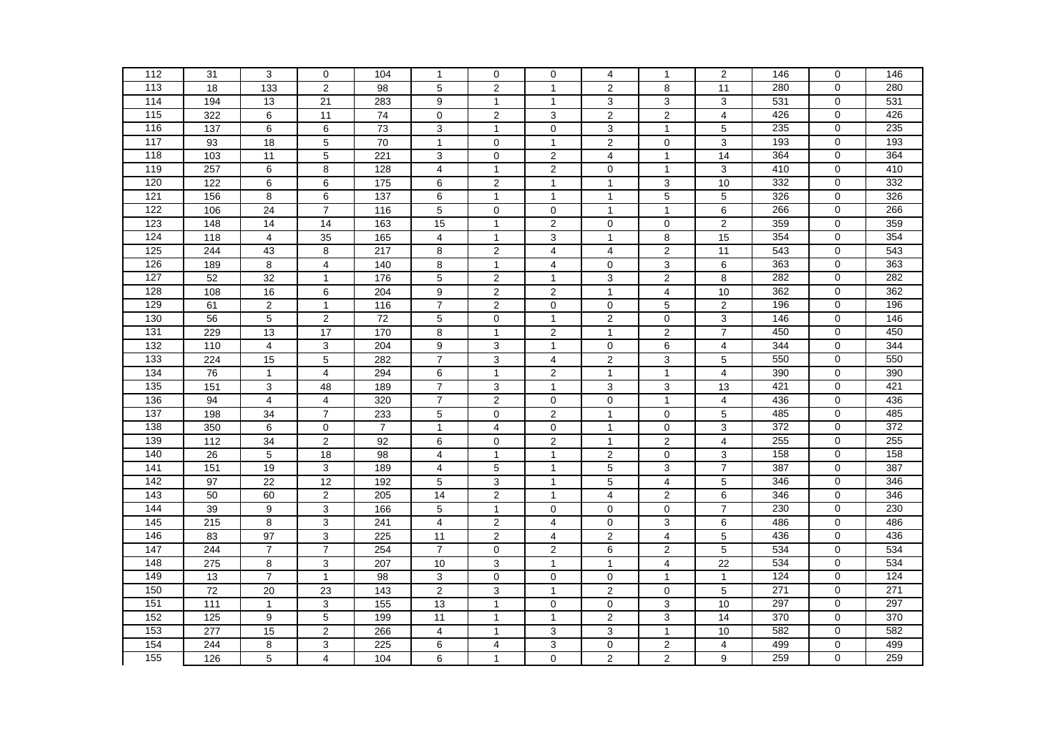| 112               | 31               | 3                       | $\mathbf 0$     | 104               | $\mathbf{1}$            | $\mathbf 0$      | $\mathbf 0$             | 4                | 1              | $\overline{2}$          | 146 | $\mathbf 0$    | 146 |
|-------------------|------------------|-------------------------|-----------------|-------------------|-------------------------|------------------|-------------------------|------------------|----------------|-------------------------|-----|----------------|-----|
| 113               | 18               | 133                     | $\overline{2}$  | $\overline{98}$   | 5                       | $\overline{2}$   | $\mathbf{1}$            | $\overline{2}$   | 8              | 11                      | 280 | $\mathbf 0$    | 280 |
| 114               | 194              | 13                      | 21              | 283               | 9                       | $\mathbf{1}$     | $\mathbf{1}$            | 3                | 3              | 3                       | 531 | $\mathbf 0$    | 531 |
| $\frac{115}{115}$ | 322              | 6                       | 11              | 74                | $\mathbf 0$             | $\overline{2}$   | 3                       | $\boldsymbol{2}$ | $\mathbf{2}$   | 4                       | 426 | 0              | 426 |
| 116               | 137              | $\,6$                   | 6               | $\overline{73}$   | $\mathsf 3$             | $\mathbf{1}$     | $\pmb{0}$               | 3                | $\overline{1}$ | 5                       | 235 | $\mathbf 0$    | 235 |
| 117               | 93               | $\overline{18}$         | 5               | $\overline{70}$   | $\mathbf{1}$            | $\mathbf 0$      | $\mathbf{1}$            | $\overline{2}$   | $\mathbf 0$    | 3                       | 193 | $\mathbf 0$    | 193 |
| 118               | 103              | 11                      | 5               | 221               | 3                       | $\mathbf 0$      | $\mathbf{2}$            | 4                | $\mathbf{1}$   | 14                      | 364 | $\mathbf 0$    | 364 |
| 119               | 257              | $\overline{6}$          | 8               | 128               | $\overline{4}$          | $\mathbf{1}$     | $\overline{2}$          | $\mathbf 0$      | 1              | 3                       | 410 | $\mathbf 0$    | 410 |
| 120               | 122              | 6                       | 6               | 175               | 6                       | $\overline{c}$   | $\mathbf{1}$            | $\mathbf{1}$     | 3              | 10                      | 332 | $\overline{0}$ | 332 |
| 121               | 156              | 8                       | 6               | $\frac{1}{137}$   | $\,6$                   | $\mathbf{1}$     | $\mathbf{1}$            | $\mathbf{1}$     | 5              | 5                       | 326 | $\mathbf 0$    | 326 |
| 122               | 106              | $\overline{24}$         | $\overline{7}$  | 116               | 5                       | $\mathbf 0$      | $\mathbf 0$             | $\mathbf{1}$     | $\mathbf{1}$   | 6                       | 266 | $\mathbf 0$    | 266 |
| 123               | 148              | 14                      | 14              | 163               | 15                      | $\mathbf{1}$     | $\sqrt{2}$              | $\mathbf 0$      | $\mathbf 0$    | $\overline{c}$          | 359 | $\mathbf 0$    | 359 |
| 124               | 118              | $\overline{4}$          | 35              | 165               | $\overline{\mathbf{4}}$ | $\mathbf{1}$     | 3                       | $\mathbf{1}$     | 8              | 15                      | 354 | $\mathbf 0$    | 354 |
| 125               | 244              | 43                      | 8               | 217               | 8                       | $\overline{2}$   | 4                       | $\overline{4}$   | $\mathbf{2}$   | 11                      | 543 | $\mathbf 0$    | 543 |
| 126               | 189              | $\overline{8}$          | $\overline{4}$  | 140               | 8                       | $\mathbf{1}$     | $\overline{4}$          | $\mathbf 0$      | 3              | $\overline{6}$          | 363 | $\overline{0}$ | 363 |
| 127               | 52               | 32                      | $\mathbf{1}$    | 176               | 5                       | $\overline{2}$   | $\mathbf{1}$            | $\mathbf{3}$     | $\overline{2}$ | 8                       | 282 | $\mathbf 0$    | 282 |
| 128               | 108              | 16                      | 6               | 204               | $\overline{9}$          | $\overline{2}$   | $\overline{2}$          | $\mathbf{1}$     | 4              | 10                      | 362 | $\mathbf 0$    | 362 |
| 129               | 61               | $\overline{2}$          | $\mathbf{1}$    | $\frac{116}{116}$ | $\overline{7}$          | $\overline{2}$   | $\mathsf{O}\xspace$     | $\mathbf 0$      | 5              | $\overline{2}$          | 196 | $\mathbf 0$    | 196 |
| 130               | 56               | $\overline{5}$          | $\mathbf 2$     | $\overline{72}$   | $\mathbf 5$             | 0                | $\overline{1}$          | $\sqrt{2}$       | $\mathbf 0$    | $\overline{3}$          | 146 | $\mathbf 0$    | 146 |
| $\overline{131}$  | 229              | 13                      | 17              | 170               | 8                       | $\mathbf{1}$     | $\sqrt{2}$              | $\mathbf{1}$     | 2              | $\overline{7}$          | 450 | 0              | 450 |
| 132               | 110              | $\overline{\mathbf{4}}$ | $\mathbf{3}$    | 204               | 9                       | $\mathbf{3}$     | $\mathbf{1}$            | $\mathbf 0$      | $\,6$          | $\overline{\mathbf{4}}$ | 344 | $\mathbf 0$    | 344 |
| 133               | 224              | 15                      | 5               | 282               | $\overline{7}$          | 3                | 4                       | $\overline{2}$   | $\mathbf{3}$   | $\overline{5}$          | 550 | $\mathbf 0$    | 550 |
| 134               | 76               | $\mathbf{1}$            | 4               | 294               | 6                       | $\mathbf{1}$     | 2                       | $\mathbf{1}$     | $\mathbf{1}$   | $\overline{\mathbf{4}}$ | 390 | $\mathbf 0$    | 390 |
| 135               | 151              | 3                       | 48              | 189               | $\overline{7}$          | 3                | $\mathbf{1}$            | 3                | 3              | 13                      | 421 | $\mathbf 0$    | 421 |
| 136               | 94               | $\overline{4}$          | 4               | 320               | $\overline{7}$          | $\overline{2}$   | $\overline{0}$          | $\mathbf 0$      | $\mathbf{1}$   | $\overline{4}$          | 436 | $\Omega$       | 436 |
| $\overline{137}$  | 198              | 34                      | $\overline{7}$  | 233               | $\,$ 5 $\,$             | $\mathbf 0$      | $\sqrt{2}$              | $\mathbf{1}$     | $\mathbf 0$    | 5                       | 485 | $\mathbf 0$    | 485 |
| 138               | 350              | 6                       | $\mathbf 0$     | $\overline{7}$    | $\mathbf{1}$            | $\overline{4}$   | $\mathsf 0$             | $\mathbf{1}$     | $\mathbf 0$    | 3                       | 372 | $\pmb{0}$      | 372 |
| 139               | $\frac{1}{112}$  | $\overline{34}$         | $\overline{2}$  | 92                | 6                       | $\mathsf 0$      | $\overline{2}$          | $\mathbf{1}$     | $\overline{2}$ | $\overline{4}$          | 255 | $\pmb{0}$      | 255 |
| 140               | 26               | 5                       | 18              | 98                | 4                       | $\mathbf{1}$     | $\mathbf{1}$            | $\mathbf 2$      | $\mathbf 0$    | 3                       | 158 | $\mathbf 0$    | 158 |
| 141               | 151              | 19                      | 3               | 189               | $\overline{\mathbf{4}}$ | 5                | $\mathbf{1}$            | $\mathbf 5$      | 3              | $\overline{7}$          | 387 | $\mathbf 0$    | 387 |
| 142               | 97               | $\overline{22}$         | $\overline{12}$ | 192               | $\overline{5}$          | $\overline{3}$   | $\overline{1}$          | $\overline{5}$   | $\overline{4}$ | $\overline{5}$          | 346 | $\overline{0}$ | 346 |
| 143               | 50               | 60                      | $\overline{2}$  | 205               | 14                      | $\overline{2}$   | $\mathbf{1}$            | $\overline{4}$   | $\overline{2}$ | $6\overline{6}$         | 346 | $\mathbf 0$    | 346 |
| 144               | 39               | 9                       | 3               | 166               | 5                       | $\mathbf{1}$     | $\mathbf 0$             | $\mathbf 0$      | $\mathbf 0$    | $\overline{7}$          | 230 | $\mathbf 0$    | 230 |
| 145               | $\overline{215}$ | $\overline{8}$          | $\mathsf 3$     | 241               | $\overline{\mathbf{4}}$ | $\boldsymbol{2}$ | $\overline{4}$          | $\mathbf 0$      | 3              | $\overline{6}$          | 486 | $\mathbf 0$    | 486 |
| 146               | 83               | $\overline{97}$         | 3               | 225               | $\overline{11}$         | $\overline{2}$   | $\overline{\mathbf{4}}$ | $\sqrt{2}$       | $\overline{4}$ | 5                       | 436 | $\pmb{0}$      | 436 |
| 147               | 244              | $\overline{7}$          | $\overline{7}$  | 254               | $\boldsymbol{7}$        | $\pmb{0}$        | $\sqrt{2}$              | 6                | 2              | $\overline{5}$          | 534 | $\mathbf 0$    | 534 |
| 148               | 275              | $\overline{8}$          | 3               | 207               | 10                      | $\overline{3}$   | $\mathbf{1}$            | $\mathbf{1}$     | 4              | $\overline{22}$         | 534 | $\mathbf 0$    | 534 |
| 149               | 13               | $\overline{7}$          | $\mathbf{1}$    | 98                | 3                       | $\mathbf 0$      | $\mathsf{O}\xspace$     | $\mathbf 0$      | $\mathbf{1}$   | $\mathbf{1}$            | 124 | $\mathbf 0$    | 124 |
| 150               | 72               | 20                      | 23              | 143               | $\overline{c}$          | 3                | $\mathbf{1}$            | $\overline{2}$   | $\mathbf 0$    | 5                       | 271 | $\mathbf 0$    | 271 |
| 151               | 111              | $\mathbf{1}$            | 3               | 155               | 13                      | $\mathbf{1}$     | $\mathbf 0$             | $\mathbf 0$      | 3              | 10                      | 297 | $\mathbf 0$    | 297 |
| 152               | 125              | 9                       | 5               | 199               | 11                      | $\mathbf{1}$     | $\mathbf{1}$            | $\overline{2}$   | 3              | 14                      | 370 | $\mathbf 0$    | 370 |
| 153               | 277              | 15                      | $\overline{c}$  | 266               | $\overline{\mathbf{4}}$ | $\mathbf{1}$     | 3                       | 3                | $\mathbf{1}$   | $10$                    | 582 | $\mathbf 0$    | 582 |
| 154               | 244              | 8                       | 3               | 225               | 6                       | $\overline{4}$   | 3                       | $\mathbf 0$      | 2              | 4                       | 499 | $\mathbf 0$    | 499 |
| 155               | 126              | $\overline{5}$          | 4               | 104               | 6                       | $\mathbf{1}$     | $\overline{0}$          | $\overline{2}$   | $\overline{c}$ | $\overline{9}$          | 259 | 0              | 259 |